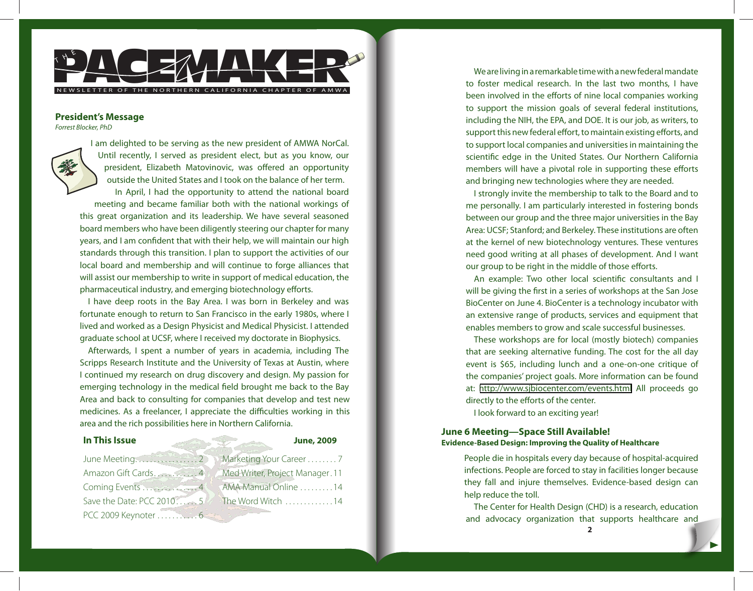

### **President's Message**

Forrest Blocker, PhD



I am delighted to be serving as the new president of AMWA NorCal. Until recently, I served as president elect, but as you know, our president, Elizabeth Matovinovic, was offered an opportunity outside the United States and I took on the balance of her term. In April, I had the opportunity to attend the national board meeting and became familiar both with the national workings of this great organization and its leadership. We have several seasoned board members who have been diligently steering our chapter for many years, and I am confident that with their help, we will maintain our high standards through this transition. I plan to support the activities of our

local board and membership and will continue to forge alliances that will assist our membership to write in support of medical education, the pharmaceutical industry, and emerging biotechnology efforts.

I have deep roots in the Bay Area. I was born in Berkeley and was fortunate enough to return to San Francisco in the early 1980s, where I lived and worked as a Design Physicist and Medical Physicist. I attended graduate school at UCSF, where I received my doctorate in Biophysics.

Afterwards, I spent a number of years in academia, including The Scripps Research Institute and the University of Texas at Austin, where I continued my research on drug discovery and design. My passion for emerging technology in the medical field brought me back to the Bay Area and back to consulting for companies that develop and test new medicines. As a freelancer, I appreciate the difficulties working in this area and the rich possibilities here in Northern California.

# **In This Issue June, 2009**

June Meeting . . . . . . . . . . . . . . . . 2 Amazon Gift Cards . . . . . . . . . . 4 Coming Events . . . . . . . . . . . . 4 Save the Date: PCC 2010....... 5 PCC 2009 Keynoter . . . . . . . . . . . 6

Marketing Your Career . . . . . . . . 7 Med Writer, Project Manager . 11 AMA Manual Online . . . . . . . . . 14 The Word Witch ..............14

We are living in a remarkable time with a new federal mandate to foster medical research. In the last two months, I have been involved in the efforts of nine local companies working to support the mission goals of several federal institutions, including the NIH, the EPA, and DOE. It is our job, as writers, to support this new federal effort, to maintain existing efforts, and to support local companies and universities in maintaining the scientific edge in the United States. Our Northern California members will have a pivotal role in supporting these efforts and bringing new technologies where they are needed.

I strongly invite the membership to talk to the Board and to me personally. I am particularly interested in fostering bonds between our group and the three major universities in the Bay Area: UCSF; Stanford; and Berkeley. These institutions are often at the kernel of new biotechnology ventures. These ventures need good writing at all phases of development. And I want our group to be right in the middle of those efforts.

An example: Two other local scientific consultants and I will be giving the first in a series of workshops at the San Jose BioCenter on June 4. BioCenter is a technology incubator with an extensive range of products, services and equipment that enables members to grow and scale successful businesses.

These workshops are for local (mostly biotech) companies that are seeking alternative funding. The cost for the all day event is \$65, including lunch and a one-on-one critique of the companies' project goals. More information can be found at: <http://www.sjbiocenter.com/events.html>All proceeds go directly to the efforts of the center.

I look forward to an exciting year!

# **June 6 Meeting—Space Still Available! Evidence-Based Design: Improving the Quality of Healthcare**

People die in hospitals every day because of hospital-acquired infections. People are forced to stay in facilities longer because they fall and injure themselves. Evidence-based design can help reduce the toll.

The Center for Health Design (CHD) is a research, education and advocacy organization that supports healthcare and

**2**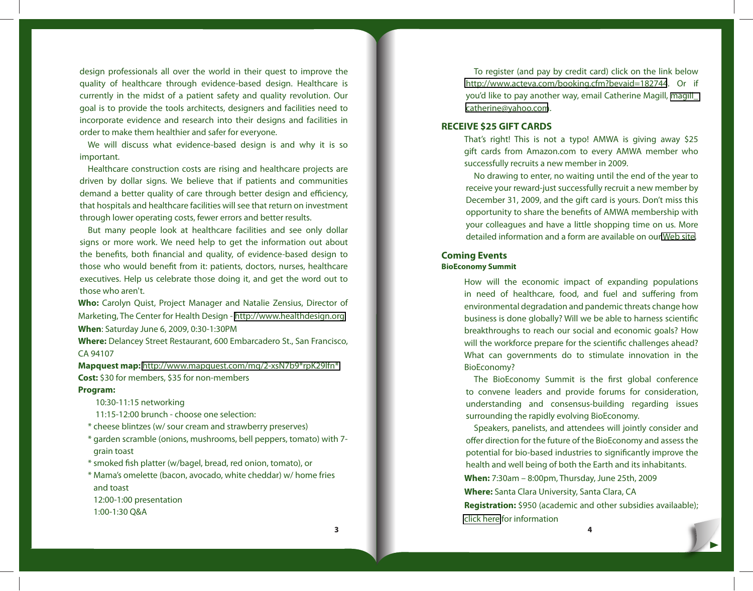design professionals all over the world in their quest to improve the quality of healthcare through evidence-based design. Healthcare is currently in the midst of a patient safety and quality revolution. Our goal is to provide the tools architects, designers and facilities need to incorporate evidence and research into their designs and facilities in order to make them healthier and safer for everyone.

We will discuss what evidence-based design is and why it is so important.

Healthcare construction costs are rising and healthcare projects are driven by dollar signs. We believe that if patients and communities demand a better quality of care through better design and efficiency, that hospitals and healthcare facilities will see that return on investment through lower operating costs, fewer errors and better results.

But many people look at healthcare facilities and see only dollar signs or more work. We need help to get the information out about the benefits, both financial and quality, of evidence-based design to those who would benefit from it: patients, doctors, nurses, healthcare executives. Help us celebrate those doing it, and get the word out to those who aren't.

**Who:** Carolyn Quist, Project Manager and Natalie Zensius, Director of Marketing, The Center for Health Design - <http://www.healthdesign.org> **When**: Saturday June 6, 2009, 0:30-1:30PM

**Where:** Delancey Street Restaurant, 600 Embarcadero St., San Francisco, CA 94107

**Mapquest map:** [http://www.mapquest.com/mq/2-xsN7b9\\*rpK29lfn\\*](http://www.mapquest.com/mq/2-xsN7b9*rpK29lfn*) **Cost:** \$30 for members, \$35 for non-members

### **Program:**

10:30-11:15 networking

- 11:15-12:00 brunch choose one selection:
- \* cheese blintzes (w/ sour cream and strawberry preserves)
- \* garden scramble (onions, mushrooms, bell peppers, tomato) with 7 grain toast
- \* smoked fish platter (w/bagel, bread, red onion, tomato), or
- \* Mama's omelette (bacon, avocado, white cheddar) w/ home fries and toast
- 12:00-1:00 presentation
- 1:00-1:30 Q&A

**3 4**

To register (and pay by credit card) click on the link below [http://www.acteva.com/booking.cfm?bevaid=182744](http://www.acteva.com/booking.cfm?bevaid=182744.). Or if you'd like to pay another way, email Catherine Magill, [magill\\_](mailto:magill_catherine@yahoo.com) [catherine@yahoo.com](mailto:magill_catherine@yahoo.com).

# **RECEIVE \$25 GIFT CARDS**

That's right! This is not a typo! AMWA is giving away \$25 gift cards from Amazon.com to every AMWA member who successfully recruits a new member in 2009.

No drawing to enter, no waiting until the end of the year to receive your reward-just successfully recruit a new member by December 31, 2009, and the gift card is yours. Don't miss this opportunity to share the benefits of AMWA membership with your colleagues and have a little shopping time on us. More detailed information and a form are available on our [Web site.](http://amwa.org/default.asp?id=452)

## **Coming Events BioEconomy Summit**

How will the economic impact of expanding populations in need of healthcare, food, and fuel and suffering from environmental degradation and pandemic threats change how business is done globally? Will we be able to harness scientific breakthroughs to reach our social and economic goals? How will the workforce prepare for the scientific challenges ahead? What can governments do to stimulate innovation in the BioEconomy?

The BioEconomy Summit is the first global conference to convene leaders and provide forums for consideration, understanding and consensus-building regarding issues surrounding the rapidly evolving BioEconomy.

Speakers, panelists, and attendees will jointly consider and offer direction for the future of the BioEconomy and assess the potential for bio-based industries to significantly improve the health and well being of both the Earth and its inhabitants.

**When:** 7:30am – 8:00pm, Thursday, June 25th, 2009

**Where:** Santa Clara University, Santa Clara, CA

**Registration:** \$950 (academic and other subsidies availaable); [click here](http://www.baybio.org/institute/wt/open/BioEconomy-Summit) for information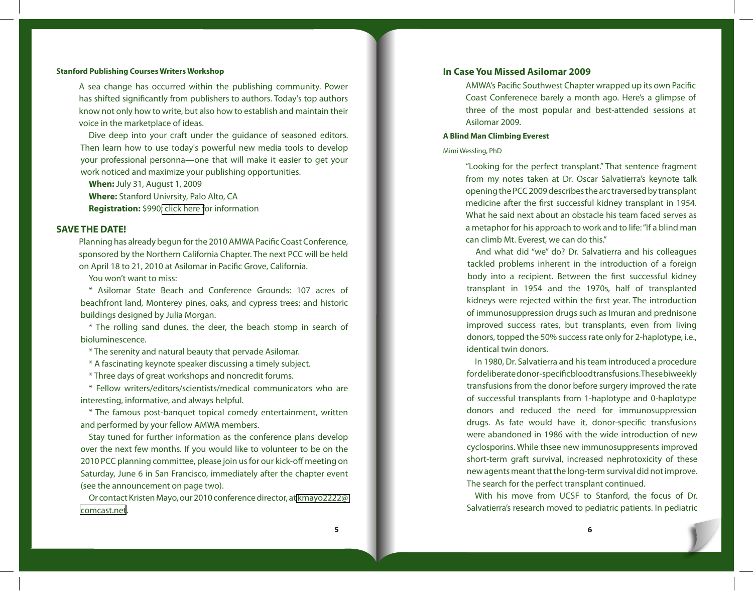### **Stanford Publishing Courses Writers Workshop**

A sea change has occurred within the publishing community. Power has shifted significantly from publishers to authors. Today's top authors know not only how to write, but also how to establish and maintain their voice in the marketplace of ideas.

Dive deep into your craft under the guidance of seasoned editors. Then learn how to use today's powerful new media tools to develop your professional personna—one that will make it easier to get your work noticed and maximize your publishing opportunities.

**When:** July 31, August 1, 2009

**Where:** Stanford Univrsity, Palo Alto, CA **Registration:** \$990[; click here f](http://publishingcourses.stanford.edu/writers-workshop/)or information

### **SAVE THE DATE!**

Planning has already begun for the 2010 AMWA Pacific Coast Conference, sponsored by the Northern California Chapter. The next PCC will be held on April 18 to 21, 2010 at Asilomar in Pacific Grove, California.

You won't want to miss:

\* Asilomar State Beach and Conference Grounds: 107 acres of beachfront land, Monterey pines, oaks, and cypress trees; and historic buildings designed by Julia Morgan.

\* The rolling sand dunes, the deer, the beach stomp in search of bioluminescence.

\* The serenity and natural beauty that pervade Asilomar.

\* A fascinating keynote speaker discussing a timely subject.

\* Three days of great workshops and noncredit forums.

\* Fellow writers/editors/scientists/medical communicators who are interesting, informative, and always helpful.

\* The famous post-banquet topical comedy entertainment, written and performed by your fellow AMWA members.

Stay tuned for further information as the conference plans develop over the next few months. If you would like to volunteer to be on the 2010 PCC planning committee, please join us for our kick-off meeting on Saturday, June 6 in San Francisco, immediately after the chapter event (see the announcement on page two).

Or contact Kristen Mayo, our 2010 conference director, at [kmayo2222@](mailto: kmayo2222@comcast.net) [comcast.net](mailto: kmayo2222@comcast.net).

## **In Case You Missed Asilomar 2009**

AMWA's Pacific Southwest Chapter wrapped up its own Pacific Coast Conferenece barely a month ago. Here's a glimpse of three of the most popular and best-attended sessions at Asilomar 2009.

### **A Blind Man Climbing Everest**

### Mimi Wessling, PhD

"Looking for the perfect transplant." That sentence fragment from my notes taken at Dr. Oscar Salvatierra's keynote talk opening the PCC 2009 describes the arc traversed by transplant medicine after the first successful kidney transplant in 1954. What he said next about an obstacle his team faced serves as a metaphor for his approach to work and to life: "If a blind man can climb Mt. Everest, we can do this."

And what did "we" do? Dr. Salvatierra and his colleagues tackled problems inherent in the introduction of a foreign body into a recipient. Between the first successful kidney transplant in 1954 and the 1970s, half of transplanted kidneys were rejected within the first year. The introduction of immunosuppression drugs such as Imuran and prednisone improved success rates, but transplants, even from living donors, topped the 50% success rate only for 2-haplotype, i.e., identical twin donors.

In 1980, Dr. Salvatierra and his team introduced a procedure for deliberate donor-specific blood transfusions. The se biweekly transfusions from the donor before surgery improved the rate of successful transplants from 1-haplotype and 0-haplotype donors and reduced the need for immunosuppression drugs. As fate would have it, donor-specific transfusions were abandoned in 1986 with the wide introduction of new cyclosporins. While thsee new immunosuppresents improved short-term graft survival, increased nephrotoxicity of these new agents meant that the long-term survival did not improve. The search for the perfect transplant continued.

With his move from UCSF to Stanford, the focus of Dr. Salvatierra's research moved to pediatric patients. In pediatric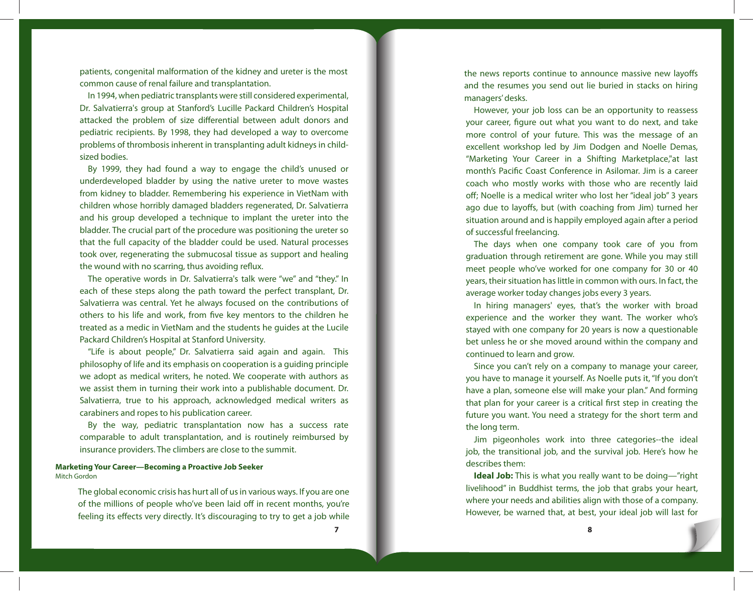patients, congenital malformation of the kidney and ureter is the most common cause of renal failure and transplantation.

In 1994, when pediatric transplants were still considered experimental, Dr. Salvatierra's group at Stanford's Lucille Packard Children's Hospital attacked the problem of size differential between adult donors and pediatric recipients. By 1998, they had developed a way to overcome problems of thrombosis inherent in transplanting adult kidneys in childsized bodies.

By 1999, they had found a way to engage the child's unused or underdeveloped bladder by using the native ureter to move wastes from kidney to bladder. Remembering his experience in VietNam with children whose horribly damaged bladders regenerated, Dr. Salvatierra and his group developed a technique to implant the ureter into the bladder. The crucial part of the procedure was positioning the ureter so that the full capacity of the bladder could be used. Natural processes took over, regenerating the submucosal tissue as support and healing the wound with no scarring, thus avoiding reflux.

The operative words in Dr. Salvatierra's talk were "we" and "they." In each of these steps along the path toward the perfect transplant, Dr. Salvatierra was central. Yet he always focused on the contributions of others to his life and work, from five key mentors to the children he treated as a medic in VietNam and the students he guides at the Lucile Packard Children's Hospital at Stanford University.

"Life is about people," Dr. Salvatierra said again and again. This philosophy of life and its emphasis on cooperation is a guiding principle we adopt as medical writers, he noted. We cooperate with authors as we assist them in turning their work into a publishable document. Dr. Salvatierra, true to his approach, acknowledged medical writers as carabiners and ropes to his publication career.

By the way, pediatric transplantation now has a success rate comparable to adult transplantation, and is routinely reimbursed by insurance providers. The climbers are close to the summit.

### **Marketing Your Career—Becoming a Proactive Job Seeker** Mitch Gordon

The global economic crisis has hurt all of us in various ways. If you are one of the millions of people who've been laid off in recent months, you're feeling its effects very directly. It's discouraging to try to get a job while

the news reports continue to announce massive new layoffs and the resumes you send out lie buried in stacks on hiring managers' desks.

However, your job loss can be an opportunity to reassess your career, figure out what you want to do next, and take more control of your future. This was the message of an excellent workshop led by Jim Dodgen and Noelle Demas, "Marketing Your Career in a Shifting Marketplace,"at last month's Pacific Coast Conference in Asilomar. Jim is a career coach who mostly works with those who are recently laid off; Noelle is a medical writer who lost her "ideal job" 3 years ago due to layoffs, but (with coaching from Jim) turned her situation around and is happily employed again after a period of successful freelancing.

The days when one company took care of you from graduation through retirement are gone. While you may still meet people who've worked for one company for 30 or 40 years, their situation has little in common with ours. In fact, the average worker today changes jobs every 3 years.

In hiring managers' eyes, that's the worker with broad experience and the worker they want. The worker who's stayed with one company for 20 years is now a questionable bet unless he or she moved around within the company and continued to learn and grow.

Since you can't rely on a company to manage your career, you have to manage it yourself. As Noelle puts it, "If you don't have a plan, someone else will make your plan." And forming that plan for your career is a critical first step in creating the future you want. You need a strategy for the short term and the long term.

Jim pigeonholes work into three categories--the ideal job, the transitional job, and the survival job. Here's how he describes them:

**Ideal Job:** This is what you really want to be doing—"right livelihood" in Buddhist terms, the job that grabs your heart, where your needs and abilities align with those of a company. However, be warned that, at best, your ideal job will last for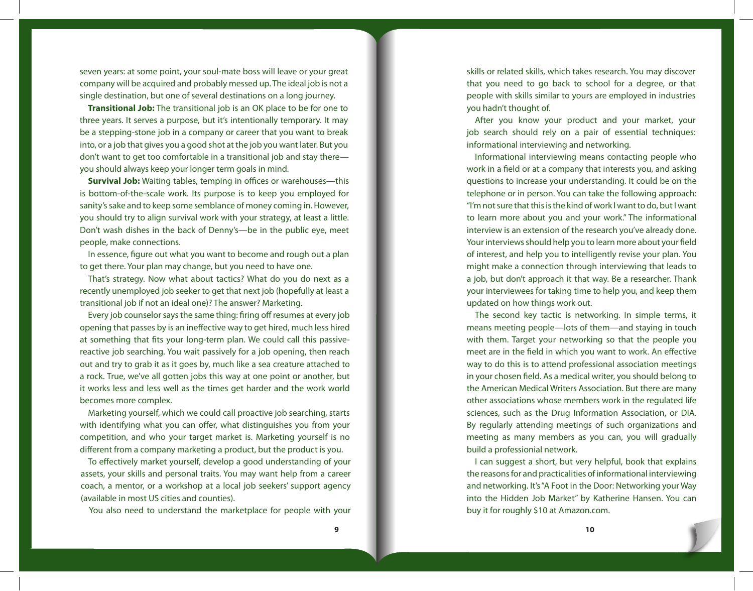seven years: at some point, your soul-mate boss will leave or your great company will be acquired and probably messed up. The ideal job is not a single destination, but one of several destinations on a long journey.

**Transitional Job:** The transitional job is an OK place to be for one to three years. It serves a purpose, but it's intentionally temporary. It may be a stepping-stone job in a company or career that you want to break into, or a job that gives you a good shot at the job you want later. But you don't want to get too comfortable in a transitional job and stay there you should always keep your longer term goals in mind.

**Survival Job:** Waiting tables, temping in offices or warehouses—this is bottom-of-the-scale work. Its purpose is to keep you employed for sanity's sake and to keep some semblance of money coming in. However, you should try to align survival work with your strategy, at least a little. Don't wash dishes in the back of Denny's—be in the public eye, meet people, make connections.

In essence, figure out what you want to become and rough out a plan to get there. Your plan may change, but you need to have one.

That's strategy. Now what about tactics? What do you do next as a recently unemployed job seeker to get that next job (hopefully at least a transitional job if not an ideal one)? The answer? Marketing.

Every job counselor says the same thing: firing off resumes at every job opening that passes by is an ineffective way to get hired, much less hired at something that fits your long-term plan. We could call this passivereactive job searching. You wait passively for a job opening, then reach out and try to grab it as it goes by, much like a sea creature attached to a rock. True, we've all gotten jobs this way at one point or another, but it works less and less well as the times get harder and the work world becomes more complex.

Marketing yourself, which we could call proactive job searching, starts with identifying what you can offer, what distinguishes you from your competition, and who your target market is. Marketing yourself is no different from a company marketing a product, but the product is you.

To effectively market yourself, develop a good understanding of your assets, your skills and personal traits. You may want help from a career coach, a mentor, or a workshop at a local job seekers' support agency (available in most US cities and counties).

You also need to understand the marketplace for people with your

skills or related skills, which takes research. You may discover that you need to go back to school for a degree, or that people with skills similar to yours are employed in industries you hadn't thought of.

After you know your product and your market, your job search should rely on a pair of essential techniques: informational interviewing and networking.

Informational interviewing means contacting people who work in a field or at a company that interests you, and asking questions to increase your understanding. It could be on the telephone or in person. You can take the following approach: "I'm not sure that this is the kind of work I want to do, but I want to learn more about you and your work." The informational interview is an extension of the research you've already done. Your interviews should help you to learn more about your field of interest, and help you to intelligently revise your plan. You might make a connection through interviewing that leads to a job, but don't approach it that way. Be a researcher. Thank your interviewees for taking time to help you, and keep them updated on how things work out.

The second key tactic is networking. In simple terms, it means meeting people—lots of them—and staying in touch with them. Target your networking so that the people you meet are in the field in which you want to work. An effective way to do this is to attend professional association meetings in your chosen field. As a medical writer, you should belong to the American Medical Writers Association. But there are many other associations whose members work in the regulated life sciences, such as the Drug Information Association, or DIA. By regularly attending meetings of such organizations and meeting as many members as you can, you will gradually build a professionial network.

I can suggest a short, but very helpful, book that explains the reasons for and practicalities of informational interviewing and networking. It's "A Foot in the Door: Networking your Way into the Hidden Job Market" by Katherine Hansen. You can buy it for roughly \$10 at Amazon.com.

**9 10**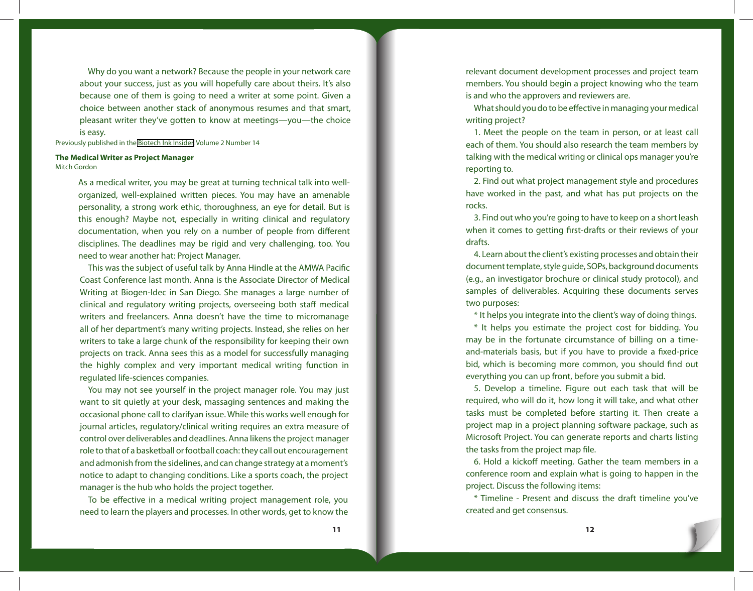Why do you want a network? Because the people in your network care about your success, just as you will hopefully care about theirs. It's also because one of them is going to need a writer at some point. Given a choice between another stack of anonymous resumes and that smart, pleasant writer they've gotten to know at meetings—you—the choice is easy.

Previously published in the [Biotech Ink Insider,](http://tinyurl.com/qbjwze) Volume 2 Number 14

### **The Medical Writer as Project Manager** Mitch Gordon

As a medical writer, you may be great at turning technical talk into wellorganized, well-explained written pieces. You may have an amenable personality, a strong work ethic, thoroughness, an eye for detail. But is this enough? Maybe not, especially in writing clinical and regulatory documentation, when you rely on a number of people from different disciplines. The deadlines may be rigid and very challenging, too. You need to wear another hat: Project Manager.

This was the subject of useful talk by Anna Hindle at the AMWA Pacific Coast Conference last month. Anna is the Associate Director of Medical Writing at Biogen-Idec in San Diego. She manages a large number of clinical and regulatory writing projects, overseeing both staff medical writers and freelancers. Anna doesn't have the time to micromanage all of her department's many writing projects. Instead, she relies on her writers to take a large chunk of the responsibility for keeping their own projects on track. Anna sees this as a model for successfully managing the highly complex and very important medical writing function in regulated life-sciences companies.

You may not see yourself in the project manager role. You may just want to sit quietly at your desk, massaging sentences and making the occasional phone call to clarifyan issue. While this works well enough for journal articles, regulatory/clinical writing requires an extra measure of control over deliverables and deadlines. Anna likens the project manager role to that of a basketball or football coach: they call out encouragement and admonish from the sidelines, and can change strategy at a moment's notice to adapt to changing conditions. Like a sports coach, the project manager is the hub who holds the project together.

To be effective in a medical writing project management role, you need to learn the players and processes. In other words, get to know the

relevant document development processes and project team members. You should begin a project knowing who the team is and who the approvers and reviewers are.

What should you do to be effective in managing your medical writing project?

1. Meet the people on the team in person, or at least call each of them. You should also research the team members by talking with the medical writing or clinical ops manager you're reporting to.

2. Find out what project management style and procedures have worked in the past, and what has put projects on the rocks.

3. Find out who you're going to have to keep on a short leash when it comes to getting first-drafts or their reviews of your drafts.

4. Learn about the client's existing processes and obtain their document template, style guide, SOPs, background documents (e.g., an investigator brochure or clinical study protocol), and samples of deliverables. Acquiring these documents serves two purposes:

\* It helps you integrate into the client's way of doing things.

\* It helps you estimate the project cost for bidding. You may be in the fortunate circumstance of billing on a timeand-materials basis, but if you have to provide a fixed-price bid, which is becoming more common, you should find out everything you can up front, before you submit a bid.

5. Develop a timeline. Figure out each task that will be required, who will do it, how long it will take, and what other tasks must be completed before starting it. Then create a project map in a project planning software package, such as Microsoft Project. You can generate reports and charts listing the tasks from the project map file.

6. Hold a kickoff meeting. Gather the team members in a conference room and explain what is going to happen in the project. Discuss the following items:

\* Timeline - Present and discuss the draft timeline you've created and get consensus.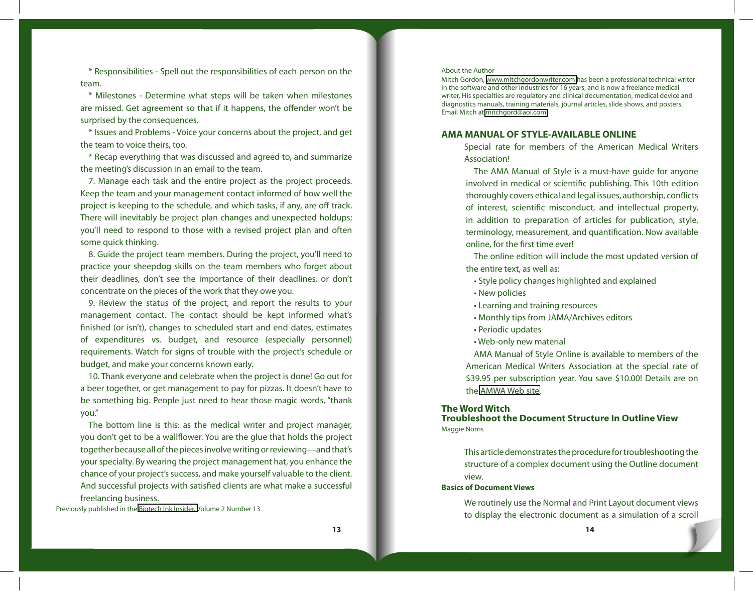\* Responsibilities - Spell out the responsibilities of each person on the team.

\* Milestones - Determine what steps will be taken when milestones are missed. Get agreement so that if it happens, the offender won't be surprised by the consequences.

\* Issues and Problems - Voice your concerns about the project, and get the team to voice theirs, too.

\* Recap everything that was discussed and agreed to, and summarize the meeting's discussion in an email to the team.

7. Manage each task and the entire project as the project proceeds. Keep the team and your management contact informed of how well the project is keeping to the schedule, and which tasks, if any, are off track. There will inevitably be project plan changes and unexpected holdups; you'll need to respond to those with a revised project plan and often some quick thinking.

8. Guide the project team members. During the project, you'll need to practice your sheepdog skills on the team members who forget about their deadlines, don't see the importance of their deadlines, or don't concentrate on the pieces of the work that they owe you.

9. Review the status of the project, and report the results to your management contact. The contact should be kept informed what's finished (or isn't), changes to scheduled start and end dates, estimates of expenditures vs. budget, and resource (especially personnel) requirements. Watch for signs of trouble with the project's schedule or budget, and make your concerns known early.

10. Thank everyone and celebrate when the project is done! Go out for a beer together, or get management to pay for pizzas. It doesn't have to be something big. People just need to hear those magic words, "thank you."

The bottom line is this: as the medical writer and project manager, you don't get to be a wallflower. You are the glue that holds the project together because all of the pieces involve writing or reviewing—and that's your specialty. By wearing the project management hat, you enhance the chance of your project's success, and make yourself valuable to the client. And successful projects with satisfied clients are what make a successful freelancing business.

Previously published in the [Biotech Ink Insider, V](http://tinyurl.com/qbjwze)olume 2 Number 13

## About the Author

Mitch Gordon, <www.mitchgordonwriter.com>has been a professional technical writer in the software and other industries for 16 years, and is now a freelance medical writer. His specialties are regulatory and clinical documentation, medical device and diagnostics manuals, training materials, journal articles, slide shows, and posters. Email Mitch at [mitchgord@aol.com](mailto:mitchgord@aol.com)

# **AMA MANUAL OF STYLE-AVAILABLE ONLINE**

Special rate for members of the American Medical Writers Association!

The AMA Manual of Style is a must-have guide for anyone involved in medical or scientific publishing. This 10th edition thoroughly covers ethical and legal issues, authorship, conflicts of interest, scientific misconduct, and intellectual property, in addition to preparation of articles for publication, style, terminology, measurement, and quantification. Now available online, for the first time ever!

The online edition will include the most updated version of the entire text, as well as:

- Style policy changes highlighted and explained
- New policies
- Learning and training resources
- Monthly tips from JAMA/Archives editors
- Periodic updates
- Web-only new material

AMA Manual of Style Online is available to members of the American Medical Writers Association at the special rate of \$39.95 per subscription year. You save \$10.00! Details are on the [AMWA Web site.](http://www.amwa.org/default.asp?l=t&Mode=DirectoryDisplay&id=358)

### **The Word Witch**

**Troubleshoot the Document Structure In Outline View** Maggie Norris

This article demonstrates the procedure for troubleshooting the structure of a complex document using the Outline document view.

## **Basics of Document Views**

We routinely use the Normal and Print Layout document views to display the electronic document as a simulation of a scroll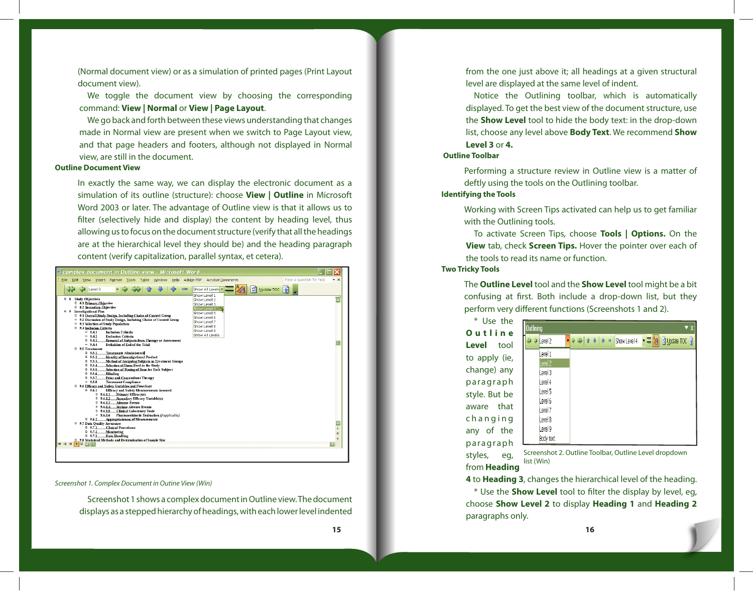(Normal document view) or as a simulation of printed pages (Print Layout document view).

We toggle the document view by choosing the corresponding command: **View | Normal** or **View | Page Layout**.

We go back and forth between these views understanding that changes made in Normal view are present when we switch to Page Layout view, and that page headers and footers, although not displayed in Normal view, are still in the document.

### **Outline Document View**

In exactly the same way, we can display the electronic document as a simulation of its outline (structure): choose **View | Outline** in Microsoft Word 2003 or later. The advantage of Outline view is that it allows us to filter (selectively hide and display) the content by heading level, thus allowing us to focus on the document structure (verify that all the headings are at the hierarchical level they should be) and the heading paragraph content (verify capitalization, parallel syntax, et cetera).

| Eile Edit View Insert Format Tools Table Window<br>Help                                                                                                                                                                                                                                                                                                                                                                                                                                                                                                                                                                                                                                                                                                                                                                                                                                                                                                                                                                       | Adobe PDF<br>Acrobat Comments                                                                                                                                                                           | Type a question for help<br>$- x$                    |
|-------------------------------------------------------------------------------------------------------------------------------------------------------------------------------------------------------------------------------------------------------------------------------------------------------------------------------------------------------------------------------------------------------------------------------------------------------------------------------------------------------------------------------------------------------------------------------------------------------------------------------------------------------------------------------------------------------------------------------------------------------------------------------------------------------------------------------------------------------------------------------------------------------------------------------------------------------------------------------------------------------------------------------|---------------------------------------------------------------------------------------------------------------------------------------------------------------------------------------------------------|------------------------------------------------------|
| Level 3<br><b>Study Objectives</b><br>0 <sub>8</sub><br>0 8.1 Primary Ohiective<br>0 8.2 Secondary Objective<br>0 9 Investigational Plan<br>0 9.1 Overall Study Design, Including Chaice of Control Group<br><sup>=</sup> 9.2 Discussion of Study Design, Including Choice of Control Group<br><sup>=</sup> 9.3 Selection of Study Population<br>0 9.4 Inclusion Criteria<br>$= 9.4.1$<br><b>Inclusion Criteria</b><br>$-9.4.2$<br><b>Exclusion Criteria</b><br>0.9.4.3.<br>Remaral of Subjects from Therapy or Assessment<br>Definition of End of the Trial<br>$-9.44$<br>0 9.5 Treatments<br>0.95.1<br><b>Treatments Administered</b>                                                                                                                                                                                                                                                                                                                                                                                       | Update TOC 4<br>ा<br>Show All Levels<br>Show Level 1<br>Show Level 2<br>Show Level 3<br>Show Level 4<br>Show Level 5<br>Show Level 6<br>Show Level 7<br>Show Level 8<br>Show Level 9<br>Show All Levels |                                                      |
| 0.9.5.2<br><b>Identity of Investigational Product</b><br>0.9.5.3.<br>Method of Assigning Subjects to Treatment Groups<br>Selection of Doses Used in the Study<br>0.9.5.4.<br>Selection of Timing of Dose for Each Subject<br>0.9.5.5<br>0.9.5.6<br><b>Blinding</b><br>Prior and Concomitant Therapy<br>0.9.5.7<br>$-9.5.8$<br><b>Treatment Compliance</b><br>0 9.6 Efficacy and Safety Variables and Flowchart<br><b>Efficacy and Safety Measurements Assessed</b><br>0.9.6.1<br>0 9.6.1.1 Primary Efficacy(s)<br>Secondary Efficacy Variable(s)<br>0.9.6.1.2<br><b>Adverse Events</b><br>0.9.6.1.3<br><b>Serious Adverse Events</b><br>0.9.6.1.4<br><b>Clinical Laboratory Tests</b><br>0.9.6.1.5<br>$-9.6.1.6$<br>Pharmacokinetic Evaluation [if applicable]<br>0 9.6.2 Appropriateness of Measurements<br>0 9.7 Data Quality Assurance<br><b>Clinical Procedures</b><br>0.9.7.1<br>0.9.7.2<br>Monitoring<br>Data Handling<br>0.9.7.3.<br>0 9.8 Statistical Methods and Determination of Sample Size<br>用 国 图<br>$\equiv$ 5 |                                                                                                                                                                                                         | $\overline{\mathbf{v}}$<br>$\overline{t}$<br>$\circ$ |

Screenshot 1. Complex Document in Outine View (Win)

Screenshot 1 shows a complex document in Outline view. The document displays as a stepped hierarchy of headings, with each lower level indented

from the one just above it; all headings at a given structural level are displayed at the same level of indent.

Notice the Outlining toolbar, which is automatically displayed. To get the best view of the document structure, use the **Show Level** tool to hide the body text: in the drop-down list, choose any level above **Body Text**. We recommend **Show Level 3** or **4.**

## **Outline Toolbar**

Performing a structure review in Outline view is a matter of deftly using the tools on the Outlining toolbar.

## **Identifying the Tools**

Working with Screen Tips activated can help us to get familiar with the Outlining tools.

To activate Screen Tips, choose **Tools | Options.** On the **View** tab, check **Screen Tips.** Hover the pointer over each of the tools to read its name or function.

### **Two Tricky Tools**

The **Outline Level** tool and the **Show Level** tool might be a bit confusing at first. Both include a drop-down list, but they perform very different functions (Screenshots 1 and 2).

\* Use the **O u t l i n e Level** tool to apply (ie, change) any paragraph style. But be aware that c h a n g i n g any of the paragraph styles, eg, from **Heading** 

| Outlining |           |                                                                              | $\blacktriangledown$ X                                            |
|-----------|-----------|------------------------------------------------------------------------------|-------------------------------------------------------------------|
| 伸         | ♦ Level 2 | $\Rightarrow$ $\Rightarrow$ $\rightarrow$<br>$\frac{1}{2}$<br>$\blacksquare$ | Show Level 4   $\mathbf{v} \equiv \mathbf{24}$   2 Update TOC   1 |
|           | Level 1   |                                                                              |                                                                   |
|           | Level 2   |                                                                              |                                                                   |
|           | Level 3   |                                                                              |                                                                   |
|           | Level 4   |                                                                              |                                                                   |
|           | Level 5   |                                                                              |                                                                   |
|           | Level 6   |                                                                              |                                                                   |
|           | Level 7   |                                                                              |                                                                   |
|           | Level 8   |                                                                              |                                                                   |
|           | Level 9   |                                                                              |                                                                   |
|           | Body text |                                                                              |                                                                   |

Screenshot 2. Outline Toolbar, Outline Level dropdown list (Win)

**4** to **Heading 3**, changes the hierarchical level of the heading. \* Use the **Show Level** tool to fi lter the display by level, eg, choose **Show Level 2** to display **Heading 1** and **Heading 2** paragraphs only.